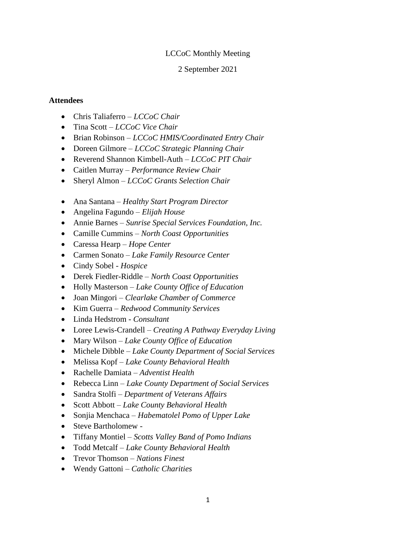#### LCCoC Monthly Meeting

#### 2 September 2021

#### **Attendees**

- Chris Taliaferro *LCCoC Chair*
- Tina Scott *LCCoC Vice Chair*
- Brian Robinson *LCCoC HMIS/Coordinated Entry Chair*
- Doreen Gilmore *LCCoC Strategic Planning Chair*
- Reverend Shannon Kimbell-Auth *LCCoC PIT Chair*
- Caitlen Murray *Performance Review Chair*
- Sheryl Almon *LCCoC Grants Selection Chair*
- Ana Santana *Healthy Start Program Director*
- Angelina Fagundo *Elijah House*
- Annie Barnes *Sunrise Special Services Foundation, Inc.*
- Camille Cummins *North Coast Opportunities*
- Caressa Hearp *Hope Center*
- Carmen Sonato *Lake Family Resource Center*
- Cindy Sobel *Hospice*
- Derek Fiedler-Riddle *North Coast Opportunities*
- Holly Masterson *Lake County Office of Education*
- Joan Mingori *Clearlake Chamber of Commerce*
- Kim Guerra *Redwood Community Services*
- Linda Hedstrom *Consultant*
- Loree Lewis-Crandell *Creating A Pathway Everyday Living*
- Mary Wilson *Lake County Office of Education*
- Michele Dibble *Lake County Department of Social Services*
- Melissa Kopf *Lake County Behavioral Health*
- Rachelle Damiata *Adventist Health*
- Rebecca Linn *Lake County Department of Social Services*
- Sandra Stolfi *Department of Veterans Affairs*
- Scott Abbott *Lake County Behavioral Health*
- Sonjia Menchaca *Habematolel Pomo of Upper Lake*
- Steve Bartholomew -
- Tiffany Montiel *Scotts Valley Band of Pomo Indians*
- Todd Metcalf *Lake County Behavioral Health*
- Trevor Thomson *Nations Finest*
- Wendy Gattoni *Catholic Charities*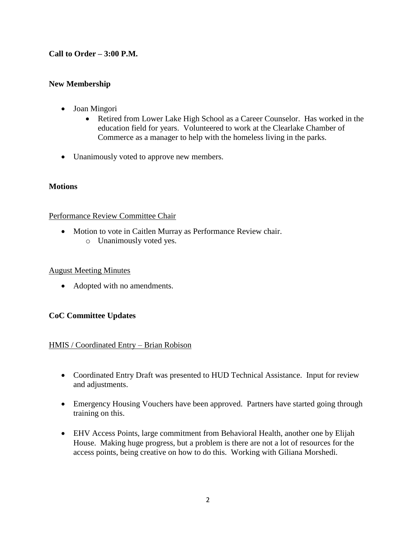# **Call to Order – 3:00 P.M.**

# **New Membership**

- Joan Mingori
	- Retired from Lower Lake High School as a Career Counselor. Has worked in the education field for years. Volunteered to work at the Clearlake Chamber of Commerce as a manager to help with the homeless living in the parks.
- Unanimously voted to approve new members.

## **Motions**

## Performance Review Committee Chair

 Motion to vote in Caitlen Murray as Performance Review chair. o Unanimously voted yes.

#### August Meeting Minutes

• Adopted with no amendments.

## **CoC Committee Updates**

## HMIS / Coordinated Entry – Brian Robison

- Coordinated Entry Draft was presented to HUD Technical Assistance. Input for review and adjustments.
- Emergency Housing Vouchers have been approved. Partners have started going through training on this.
- EHV Access Points, large commitment from Behavioral Health, another one by Elijah House. Making huge progress, but a problem is there are not a lot of resources for the access points, being creative on how to do this. Working with Giliana Morshedi.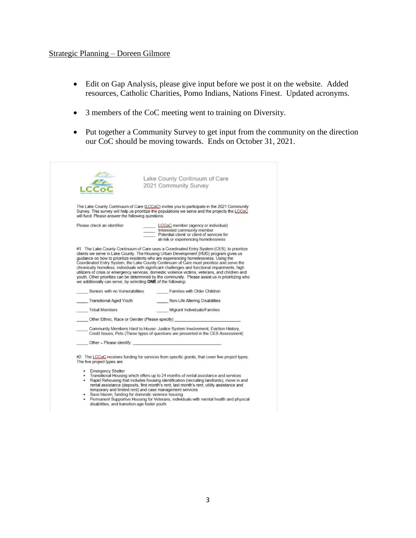#### Strategic Planning – Doreen Gilmore

- Edit on Gap Analysis, please give input before we post it on the website. Added resources, Catholic Charities, Pomo Indians, Nations Finest. Updated acronyms.
- 3 members of the CoC meeting went to training on Diversity.
- Put together a Community Survey to get input from the community on the direction our CoC should be moving towards. Ends on October 31, 2021.

|                                                               | Lake County Continuum of Care                                                                                                                                                                                                                                                                                                                                                                                                                                                               |
|---------------------------------------------------------------|---------------------------------------------------------------------------------------------------------------------------------------------------------------------------------------------------------------------------------------------------------------------------------------------------------------------------------------------------------------------------------------------------------------------------------------------------------------------------------------------|
|                                                               | 2021 Community Survey                                                                                                                                                                                                                                                                                                                                                                                                                                                                       |
|                                                               |                                                                                                                                                                                                                                                                                                                                                                                                                                                                                             |
| will fund. Please answer the following questions:             | The Lake County Continuum of Care (LCCoC) invites you to participate in the 2021 Community<br>Survey. This survey will help us prioritize the populations we serve and the projects the LCCoC                                                                                                                                                                                                                                                                                               |
| Please check an identifier:                                   | LCCoC member (agency or individual)                                                                                                                                                                                                                                                                                                                                                                                                                                                         |
|                                                               | Interested community member                                                                                                                                                                                                                                                                                                                                                                                                                                                                 |
|                                                               | Potential client/ or client of services for<br>at-risk or experiencing homelessness                                                                                                                                                                                                                                                                                                                                                                                                         |
|                                                               |                                                                                                                                                                                                                                                                                                                                                                                                                                                                                             |
| we additionally can serve, by selecting ONE of the following: | quidance on how to prioritize residents who are experiencing homelessness. Using the<br>Coordinated Entry System, the Lake County Continuum of Care must prioritize and serve the<br>chronically homeless, individuals with significant challenges and functional impairments, high<br>utilizers of crisis or emergency services, domestic violence victims, veterans, and children and<br>youth. Other priorities can be determined by the community. Please assist us in prioritizing who |
| Seniors with no Vulnerabilities                               | Families with Older Children                                                                                                                                                                                                                                                                                                                                                                                                                                                                |
| Transitional Aged Youth                                       | Non-Life Altering Disabilities                                                                                                                                                                                                                                                                                                                                                                                                                                                              |
| <b>Tribal Members</b>                                         | Migrant Individuals/Families                                                                                                                                                                                                                                                                                                                                                                                                                                                                |
|                                                               | Other Ethnic, Race or Gender (Please specify)                                                                                                                                                                                                                                                                                                                                                                                                                                               |
|                                                               | Community Members Hard to House: Justice System Involvement, Eviction History,<br>Credit Issues, Pets (These types of questions are presented in the CES Assessment)                                                                                                                                                                                                                                                                                                                        |
|                                                               | Other - Please identify:                                                                                                                                                                                                                                                                                                                                                                                                                                                                    |
| The five project types are:                                   | #2. The LCCoC receives funding for services from specific grants, that cover five project types.                                                                                                                                                                                                                                                                                                                                                                                            |
| - Emergency Shelter                                           |                                                                                                                                                                                                                                                                                                                                                                                                                                                                                             |
|                                                               | . Transitional Housing which offers up to 24 months of rental assistance and services                                                                                                                                                                                                                                                                                                                                                                                                       |
|                                                               | . Rapid Rehousing that includes housing identification (recruiting landlords), move in and<br>rental assistance (deposits, first month's rent, last month's rent, utility assistance and                                                                                                                                                                                                                                                                                                    |
|                                                               | temporary and limited rent) and case management services                                                                                                                                                                                                                                                                                                                                                                                                                                    |

- 
- Save Haven, funding for domestic violence housing<br>Permanent Supportive Housing for Veterans, individuals with mental health and physical<br>disabilities, and transition age foster youth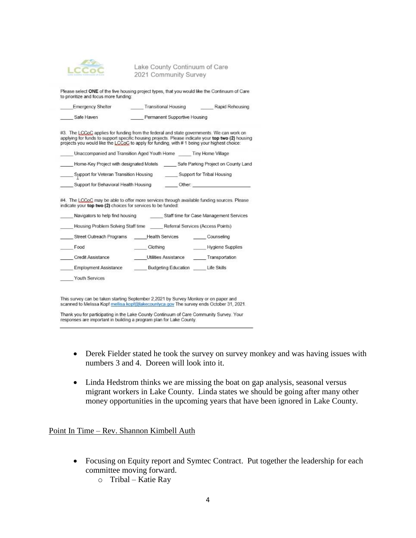

Lake County Continuum of Care 2021 Community Survey

Please select ONE of the five housing project types, that you would like the Continuum of Care to prioritize and focus more funding:

| <b>Emergency Shelter</b> | <b>Transitional Housing</b>  | Rapid Rehousing |
|--------------------------|------------------------------|-----------------|
| Safe Haven               | Permanent Supportive Housing |                 |

#3. The LCCoC applies for funding from the federal and state governments. We can work on applying for funds to support specific housing projects. Please indicate your top two (2) housing<br>projects you would like the LCCoC to apply for funding, with # 1 being your highest choice:

| Unaccompanied and Transition Aged Youth Home | Tiny Home Village                   |  |
|----------------------------------------------|-------------------------------------|--|
| Home-Key Project with designated Motels      | Safe Parking Project on County Land |  |

Support for Veteran Transition Housing Support for Tribal Housing

| Support for Behavioral Health Housing | Other: |  |
|---------------------------------------|--------|--|
|                                       |        |  |

#4. The LCCoC may be able to offer more services through available funding sources. Please indicate your top two (2) choices for services to be funded:

| Navigators to help find housing    |                            | Staff time for Case Management Services |  |
|------------------------------------|----------------------------|-----------------------------------------|--|
| Housing Problem Solving Staff time |                            | Referral Services (Access Points)       |  |
| Street Outreach Programs           | <b>Health Services</b>     | Counseling                              |  |
| Food                               | Clothing                   | <b>Hygiene Supplies</b>                 |  |
| <b>Credit Assistance</b>           | Utilities Assistance       | Transportation                          |  |
| <b>Employment Assistance</b>       | <b>Budgeting Education</b> | Life Skills                             |  |
| Youth Services                     |                            |                                         |  |

This survey can be taken starting September 2,2021 by Survey Monkey or on paper and scanned to Melissa Kopf mellisa.kopf@lakecountyca.gov The survey ends October 31, 2021.

Thank you for participating in the Lake County Continuum of Care Community Survey. Your responses are important in building a program plan for Lake County.

- Derek Fielder stated he took the survey on survey monkey and was having issues with numbers 3 and 4. Doreen will look into it.
- Linda Hedstrom thinks we are missing the boat on gap analysis, seasonal versus migrant workers in Lake County. Linda states we should be going after many other money opportunities in the upcoming years that have been ignored in Lake County.

Point In Time – Rev. Shannon Kimbell Auth

- Focusing on Equity report and Symtec Contract. Put together the leadership for each committee moving forward.
	- o Tribal Katie Ray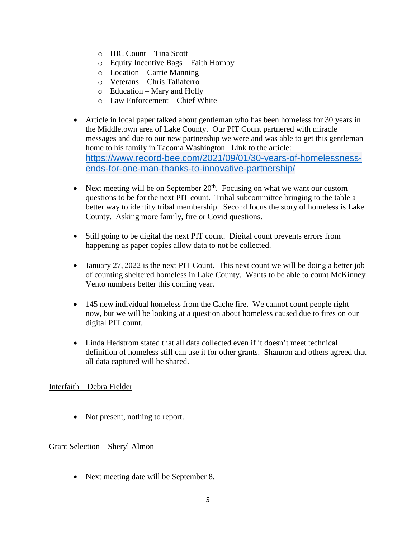- o HIC Count Tina Scott
- o Equity Incentive Bags Faith Hornby
- o Location Carrie Manning
- o Veterans Chris Taliaferro
- $\circ$  Education Mary and Holly
- o Law Enforcement Chief White
- Article in local paper talked about gentleman who has been homeless for 30 years in the Middletown area of Lake County. Our PIT Count partnered with miracle messages and due to our new partnership we were and was able to get this gentleman home to his family in Tacoma Washington. Link to the article: [https://www.record-bee.com/2021/09/01/30-years-of-homelessness](https://www.record-bee.com/2021/09/01/30-years-of-homelessness-ends-for-one-man-thanks-to-innovative-partnership/)[ends-for-one-man-thanks-to-innovative-partnership/](https://www.record-bee.com/2021/09/01/30-years-of-homelessness-ends-for-one-man-thanks-to-innovative-partnership/)
- Next meeting will be on September  $20<sup>th</sup>$ . Focusing on what we want our custom questions to be for the next PIT count. Tribal subcommittee bringing to the table a better way to identify tribal membership. Second focus the story of homeless is Lake County. Asking more family, fire or Covid questions.
- Still going to be digital the next PIT count. Digital count prevents errors from happening as paper copies allow data to not be collected.
- January 27, 2022 is the next PIT Count. This next count we will be doing a better job of counting sheltered homeless in Lake County. Wants to be able to count McKinney Vento numbers better this coming year.
- 145 new individual homeless from the Cache fire. We cannot count people right now, but we will be looking at a question about homeless caused due to fires on our digital PIT count.
- Linda Hedstrom stated that all data collected even if it doesn't meet technical definition of homeless still can use it for other grants. Shannon and others agreed that all data captured will be shared.

#### Interfaith – Debra Fielder

• Not present, nothing to report.

## Grant Selection – Sheryl Almon

Next meeting date will be September 8.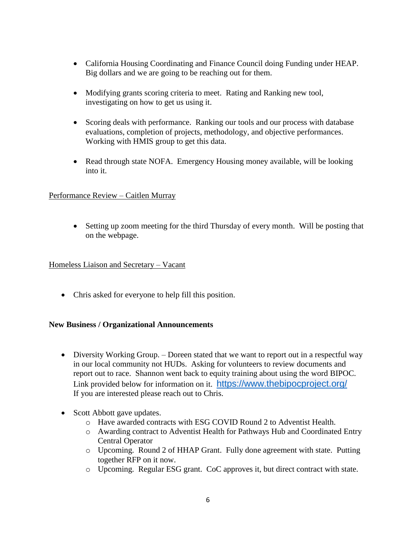- California Housing Coordinating and Finance Council doing Funding under HEAP. Big dollars and we are going to be reaching out for them.
- Modifying grants scoring criteria to meet. Rating and Ranking new tool, investigating on how to get us using it.
- Scoring deals with performance. Ranking our tools and our process with database evaluations, completion of projects, methodology, and objective performances. Working with HMIS group to get this data.
- Read through state NOFA. Emergency Housing money available, will be looking into it.

## Performance Review – Caitlen Murray

 Setting up zoom meeting for the third Thursday of every month. Will be posting that on the webpage.

Homeless Liaison and Secretary – Vacant

Chris asked for everyone to help fill this position.

## **New Business / Organizational Announcements**

- Diversity Working Group. Doreen stated that we want to report out in a respectful way in our local community not HUDs. Asking for volunteers to review documents and report out to race. Shannon went back to equity training about using the word BIPOC. Link provided below for information on it. <https://www.thebipocproject.org/> If you are interested please reach out to Chris.
- Scott Abbott gave updates.
	- o Have awarded contracts with ESG COVID Round 2 to Adventist Health.
	- o Awarding contract to Adventist Health for Pathways Hub and Coordinated Entry Central Operator
	- o Upcoming. Round 2 of HHAP Grant. Fully done agreement with state. Putting together RFP on it now.
	- o Upcoming. Regular ESG grant. CoC approves it, but direct contract with state.